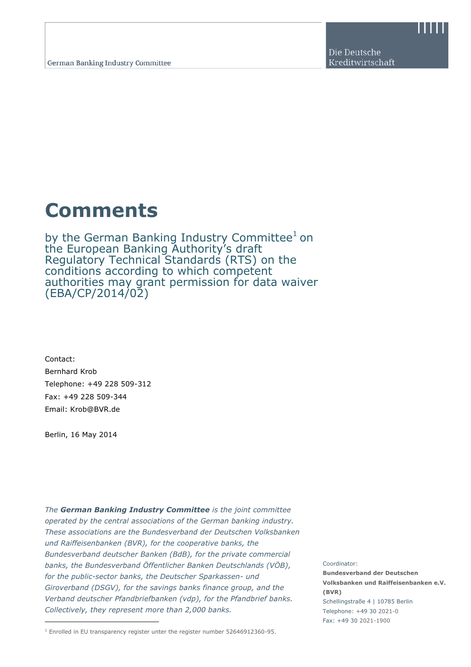Die Deutsche Kreditwirtschaft

## Comments

by the German Banking Industry Committee<sup>1</sup> on the European Banking Authority's draft Regulatory Technical Standards (RTS) on the conditions according to which competent authorities may grant permission for data waiver (EBA/CP/2014/02)

Contact: Bernhard Krob Telephone: +49 228 509-312 Fax: +49 228 509-344 Email: Krob@BVR.de

Berlin, 16 May 2014

The German Banking Industry Committee is the joint committee operated by the central associations of the German banking industry. These associations are the Bundesverband der Deutschen Volksbanken und Raiffeisenbanken (BVR), for the cooperative banks, the Bundesverband deutscher Banken (BdB), for the private commercial banks, the Bundesverband Öffentlicher Banken Deutschlands (VÖB), for the public-sector banks, the Deutscher Sparkassen- und Giroverband (DSGV), for the savings banks finance group, and the Verband deutscher Pfandbriefbanken (vdp), for the Pfandbrief banks. Collectively, they represent more than 2,000 banks.

 $<sup>1</sup>$  Enrolled in EU transparency register unter the register number 52646912360-95.</sup>

## Coordinator:

Bundesverband der Deutschen Volksbanken und Raiffeisenbanken e.V. (BVR) Schellingstraße 4 | 10785 Berlin Telephone: +49 30 2021-0 Fax: +49 30 2021-1900